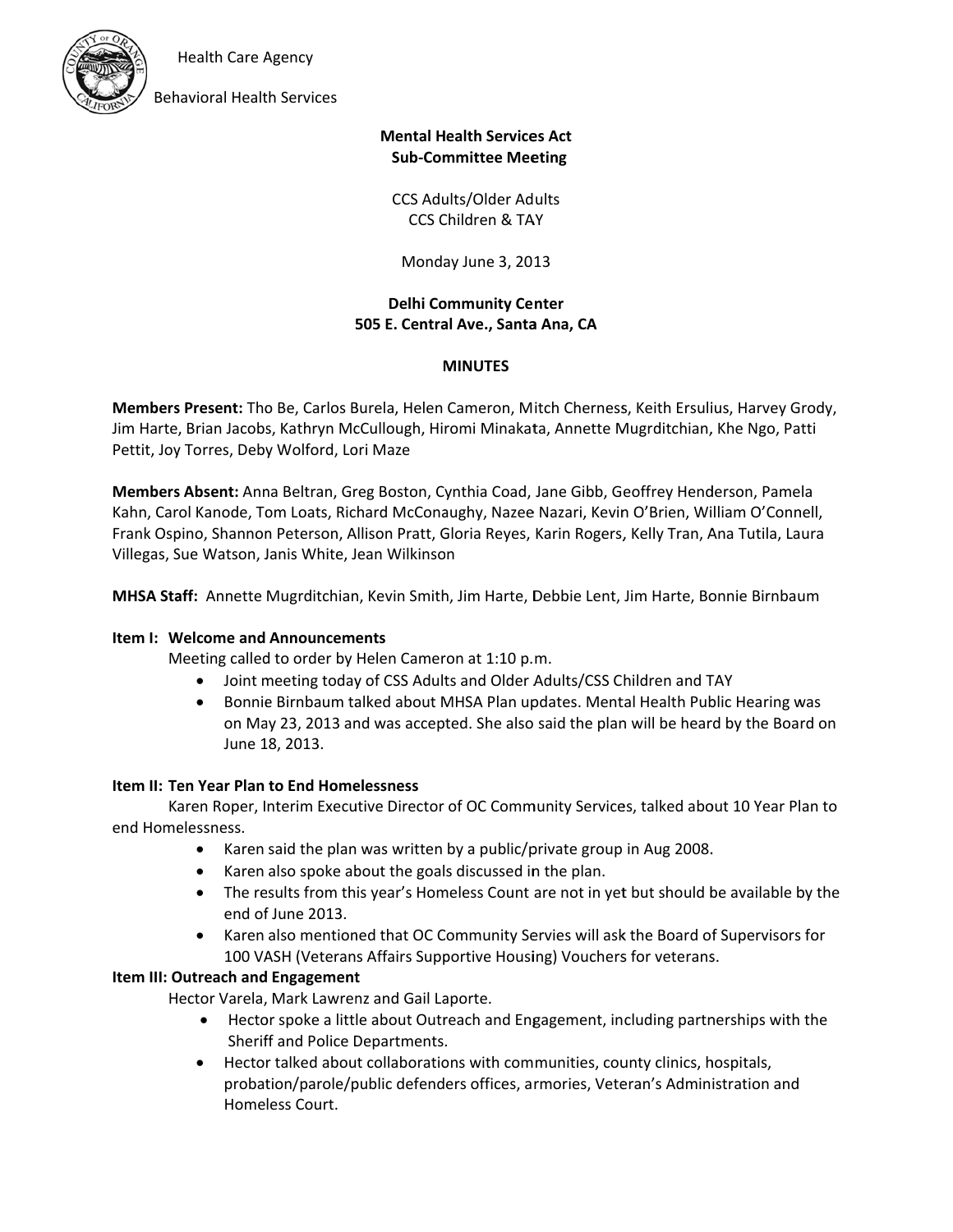**Health Care Agency** 



**Behavioral Health Services** 

### **Mental Health Services Act Sub-Committee Meeting**

**CCS Adults/Older Adults** CCS Children & TAY

Monday June 3, 2013

**Delhi Community Center** 505 E. Central Ave., Santa Ana, CA

#### **MINUTES**

Members Present: Tho Be, Carlos Burela, Helen Cameron, Mitch Cherness, Keith Ersulius, Harvey Grody, Jim Harte, Brian Jacobs, Kathryn McCullough, Hiromi Minakata, Annette Mugrditchian, Khe Ngo, Patti Pettit, Joy Torres, Deby Wolford, Lori Maze

Members Absent: Anna Beltran, Greg Boston, Cynthia Coad, Jane Gibb, Geoffrey Henderson, Pamela Kahn, Carol Kanode, Tom Loats, Richard McConaughy, Nazee Nazari, Kevin O'Brien, William O'Connell, Frank Ospino, Shannon Peterson, Allison Pratt, Gloria Reyes, Karin Rogers, Kelly Tran, Ana Tutila, Laura Villegas, Sue Watson, Janis White, Jean Wilkinson

MHSA Staff: Annette Mugrditchian, Kevin Smith, Jim Harte, Debbie Lent, Jim Harte, Bonnie Birnbaum

#### **Item I: Welcome and Announcements**

Meeting called to order by Helen Cameron at 1:10 p.m.

- Joint meeting today of CSS Adults and Older Adults/CSS Children and TAY
- Bonnie Birnbaum talked about MHSA Plan updates. Mental Health Public Hearing was  $\bullet$ on May 23, 2013 and was accepted. She also said the plan will be heard by the Board on June 18, 2013.

#### Item II: Ten Year Plan to End Homelessness

Karen Roper, Interim Executive Director of OC Community Services, talked about 10 Year Plan to end Homelessness.

- $\bullet$ Karen said the plan was written by a public/private group in Aug 2008.
- Karen also spoke about the goals discussed in the plan.  $\bullet$
- The results from this year's Homeless Count are not in yet but should be available by the end of June 2013.
- Karen also mentioned that OC Community Servies will ask the Board of Supervisors for 100 VASH (Veterans Affairs Supportive Housing) Vouchers for veterans.

#### Item III: Outreach and Engagement

Hector Varela, Mark Lawrenz and Gail Laporte.

- Hector spoke a little about Outreach and Engagement, including partnerships with the Sheriff and Police Departments.
- Hector talked about collaborations with communities, county clinics, hospitals,  $\bullet$ probation/parole/public defenders offices, armories, Veteran's Administration and Homeless Court.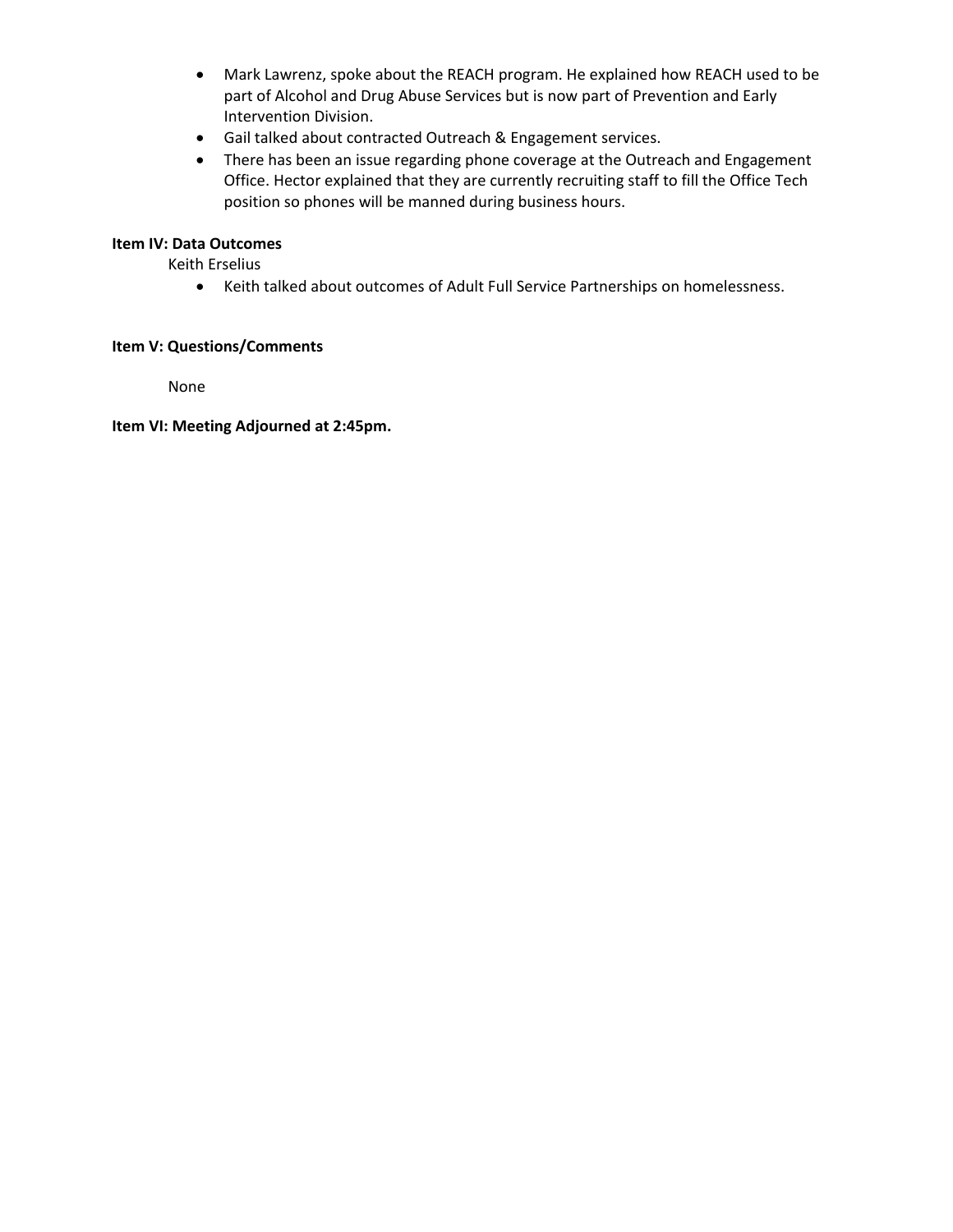- Mark Lawrenz, spoke about the REACH program. He explained how REACH used to be part of Alcohol and Drug Abuse Services but is now part of Prevention and Early Intervention Division.
- Gail talked about contracted Outreach & Engagement services.
- There has been an issue regarding phone coverage at the Outreach and Engagement Office. Hector explained that they are currently recruiting staff to fill the Office Tech position so phones will be manned during business hours.

### **Item IV: Data Outcomes**

Keith Erselius

Keith talked about outcomes of Adult Full Service Partnerships on homelessness.

#### **Item V: Questions/Comments**

None

**Item VI: Meeting Adjourned at 2:45pm.**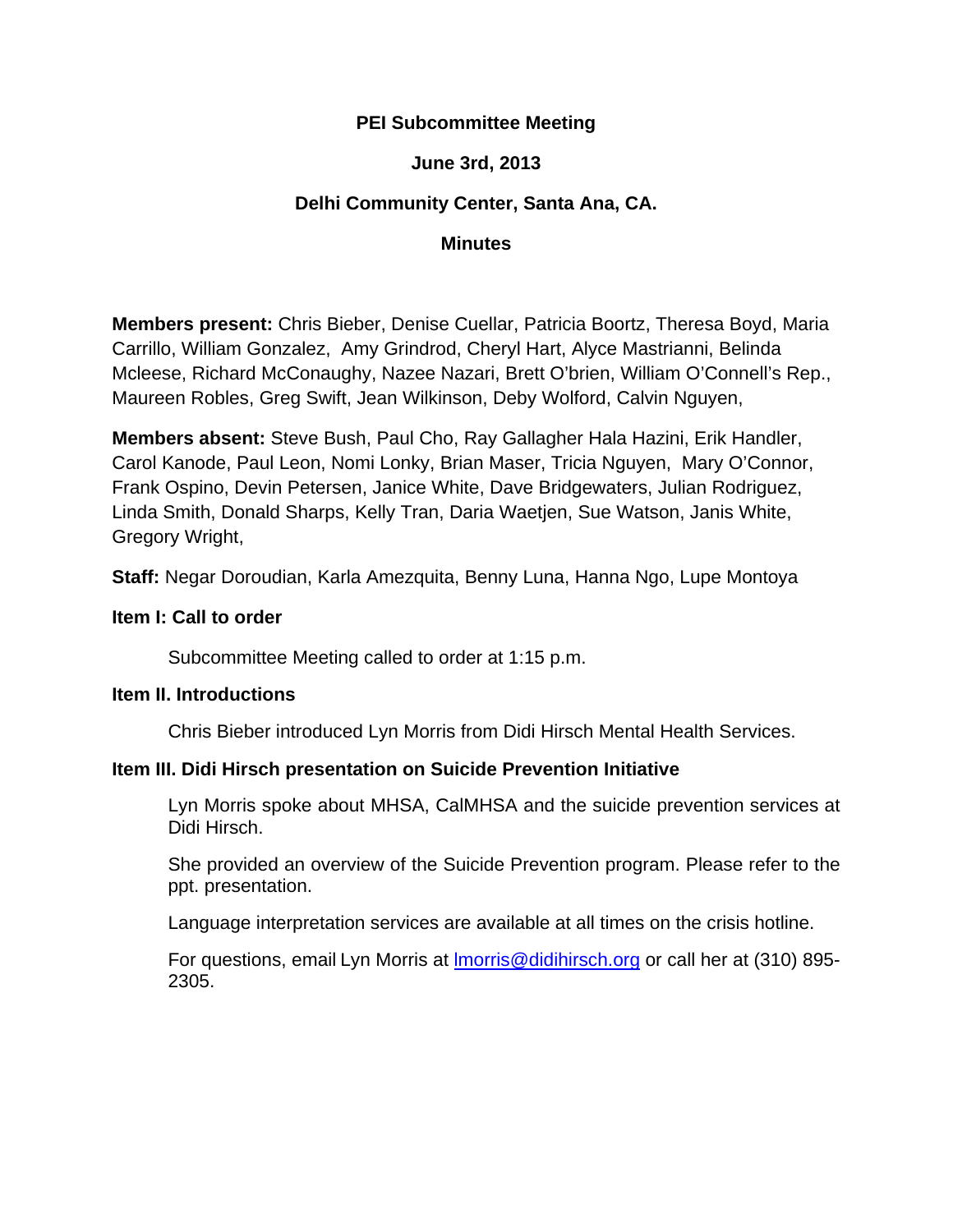# **PEI Subcommittee Meeting**

# **June 3rd, 2013**

# **Delhi Community Center, Santa Ana, CA.**

### **Minutes**

**Members present:** Chris Bieber, Denise Cuellar, Patricia Boortz, Theresa Boyd, Maria Carrillo, William Gonzalez, Amy Grindrod, Cheryl Hart, Alyce Mastrianni, Belinda Mcleese, Richard McConaughy, Nazee Nazari, Brett O'brien, William O'Connell's Rep., Maureen Robles, Greg Swift, Jean Wilkinson, Deby Wolford, Calvin Nguyen,

**Members absent:** Steve Bush, Paul Cho, Ray Gallagher Hala Hazini, Erik Handler, Carol Kanode, Paul Leon, Nomi Lonky, Brian Maser, Tricia Nguyen, Mary O'Connor, Frank Ospino, Devin Petersen, Janice White, Dave Bridgewaters, Julian Rodriguez, Linda Smith, Donald Sharps, Kelly Tran, Daria Waetjen, Sue Watson, Janis White, Gregory Wright,

**Staff:** Negar Doroudian, Karla Amezquita, Benny Luna, Hanna Ngo, Lupe Montoya

### **Item I: Call to order**

Subcommittee Meeting called to order at 1:15 p.m.

### **Item II. Introductions**

Chris Bieber introduced Lyn Morris from Didi Hirsch Mental Health Services.

## **Item III. Didi Hirsch presentation on Suicide Prevention Initiative**

Lyn Morris spoke about MHSA, CalMHSA and the suicide prevention services at Didi Hirsch.

She provided an overview of the Suicide Prevention program. Please refer to the ppt. presentation.

Language interpretation services are available at all times on the crisis hotline.

For questions, email Lyn Morris at lmorris@didihirsch.org or call her at (310) 895- 2305.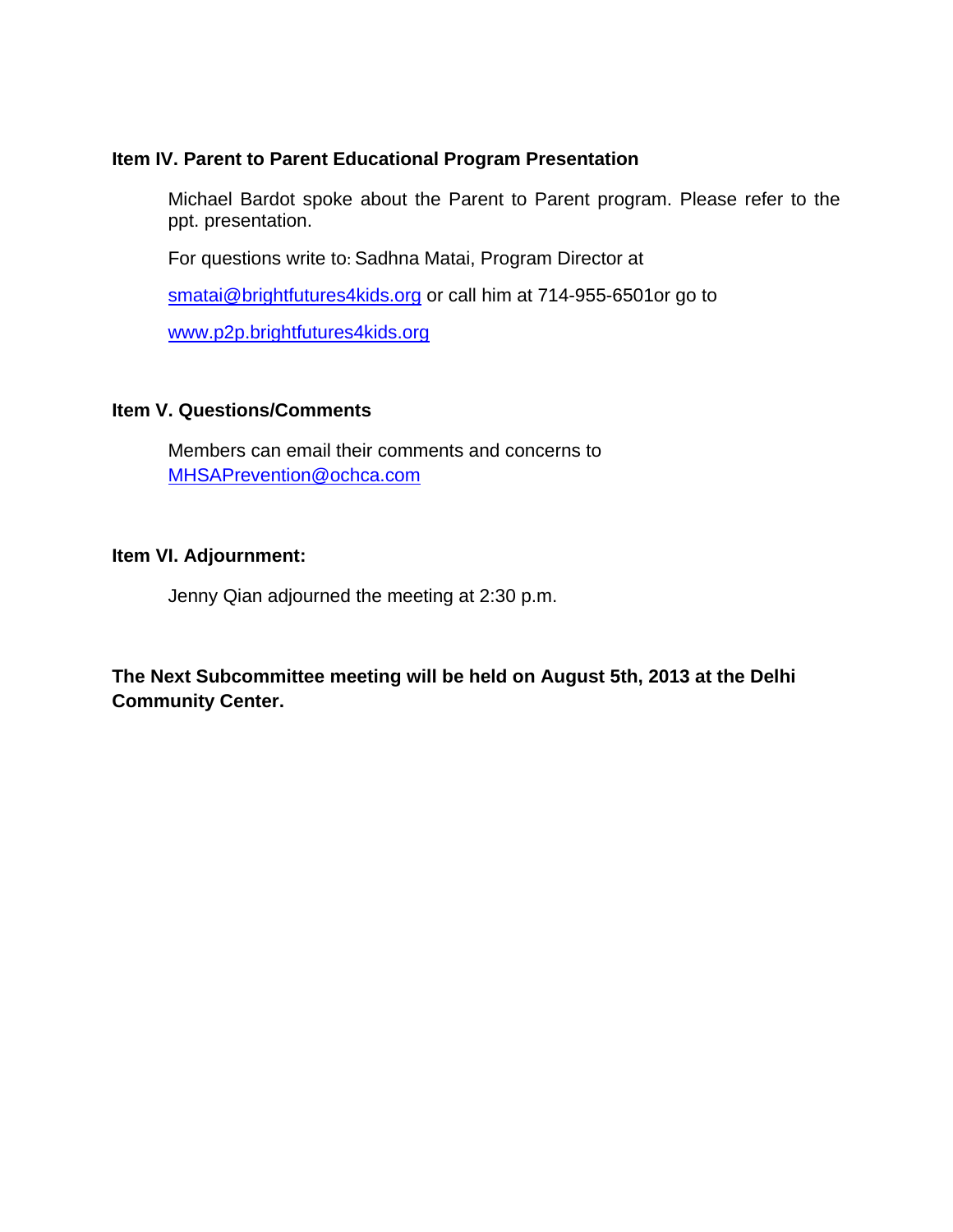## **Item IV. Parent to Parent Educational Program Presentation**

Michael Bardot spoke about the Parent to Parent program. Please refer to the ppt. presentation.

For questions write to: Sadhna Matai, Program Director at

smatai@brightfutures4kids.org or call him at 714-955-6501or go to

www.p2p.brightfutures4kids.org

## **Item V. Questions/Comments**

Members can email their comments and concerns to MHSAPrevention@ochca.com

### **Item VI. Adjournment:**

Jenny Qian adjourned the meeting at 2:30 p.m.

**The Next Subcommittee meeting will be held on August 5th, 2013 at the Delhi Community Center.**